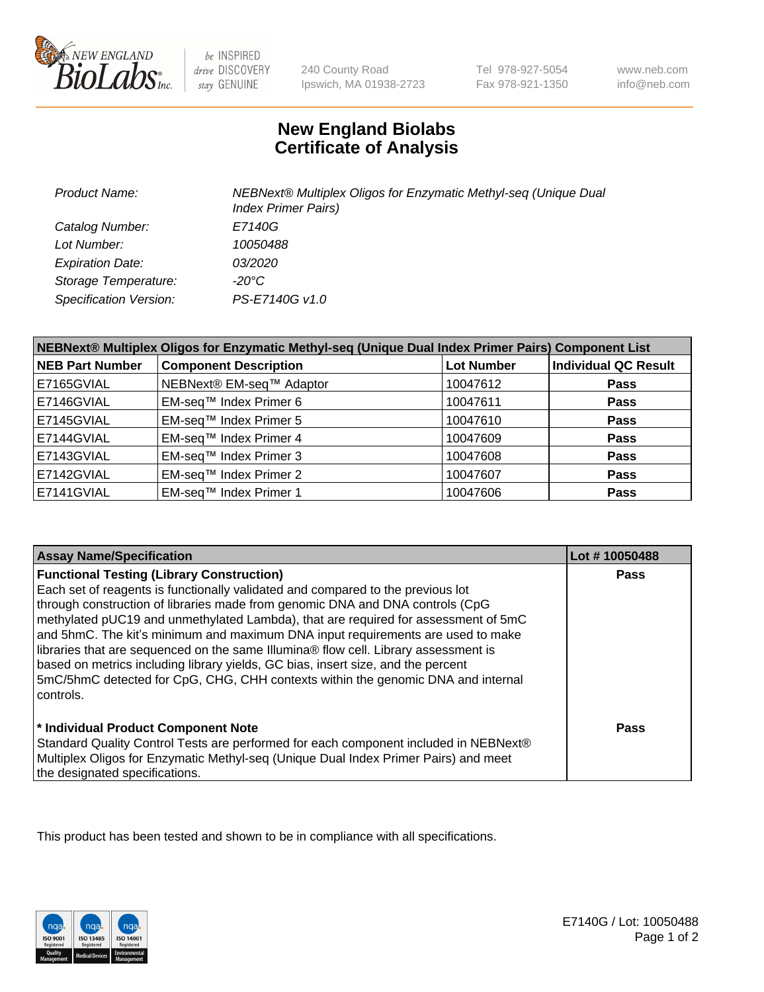

 $be$  INSPIRED drive DISCOVERY stay GENUINE

240 County Road Ipswich, MA 01938-2723 Tel 978-927-5054 Fax 978-921-1350

www.neb.com info@neb.com

## **New England Biolabs Certificate of Analysis**

| <b>Product Name:</b>    | NEBNext® Multiplex Oligos for Enzymatic Methyl-seq (Unique Dual<br><b>Index Primer Pairs)</b> |
|-------------------------|-----------------------------------------------------------------------------------------------|
| Catalog Number:         | E7140G                                                                                        |
| Lot Number:             | 10050488                                                                                      |
| <b>Expiration Date:</b> | <i>03/2020</i>                                                                                |
| Storage Temperature:    | -20°C                                                                                         |
| Specification Version:  | PS-E7140G v1.0                                                                                |

| NEBNext® Multiplex Oligos for Enzymatic Methyl-seq (Unique Dual Index Primer Pairs) Component List |                              |                   |                             |  |
|----------------------------------------------------------------------------------------------------|------------------------------|-------------------|-----------------------------|--|
| <b>NEB Part Number</b>                                                                             | <b>Component Description</b> | <b>Lot Number</b> | <b>Individual QC Result</b> |  |
| E7165GVIAL                                                                                         | NEBNext® EM-seq™ Adaptor     | 10047612          | <b>Pass</b>                 |  |
| E7146GVIAL                                                                                         | EM-seq™ Index Primer 6       | 10047611          | <b>Pass</b>                 |  |
| E7145GVIAL                                                                                         | EM-seq™ Index Primer 5       | 10047610          | <b>Pass</b>                 |  |
| E7144GVIAL                                                                                         | EM-seq™ Index Primer 4       | 10047609          | <b>Pass</b>                 |  |
| E7143GVIAL                                                                                         | EM-seq™ Index Primer 3       | 10047608          | <b>Pass</b>                 |  |
| E7142GVIAL                                                                                         | EM-seq™ Index Primer 2       | 10047607          | <b>Pass</b>                 |  |
| E7141GVIAL                                                                                         | EM-sea™ Index Primer 1       | 10047606          | <b>Pass</b>                 |  |

| <b>Assay Name/Specification</b>                                                      | Lot #10050488 |
|--------------------------------------------------------------------------------------|---------------|
| <b>Functional Testing (Library Construction)</b>                                     | <b>Pass</b>   |
| Each set of reagents is functionally validated and compared to the previous lot      |               |
| through construction of libraries made from genomic DNA and DNA controls (CpG        |               |
| methylated pUC19 and unmethylated Lambda), that are required for assessment of 5mC   |               |
| and 5hmC. The kit's minimum and maximum DNA input requirements are used to make      |               |
| libraries that are sequenced on the same Illumina® flow cell. Library assessment is  |               |
| based on metrics including library yields, GC bias, insert size, and the percent     |               |
| 5mC/5hmC detected for CpG, CHG, CHH contexts within the genomic DNA and internal     |               |
| l controls.                                                                          |               |
|                                                                                      |               |
| * Individual Product Component Note                                                  | Pass          |
| Standard Quality Control Tests are performed for each component included in NEBNext® |               |
| Multiplex Oligos for Enzymatic Methyl-seq (Unique Dual Index Primer Pairs) and meet  |               |
| the designated specifications.                                                       |               |

This product has been tested and shown to be in compliance with all specifications.